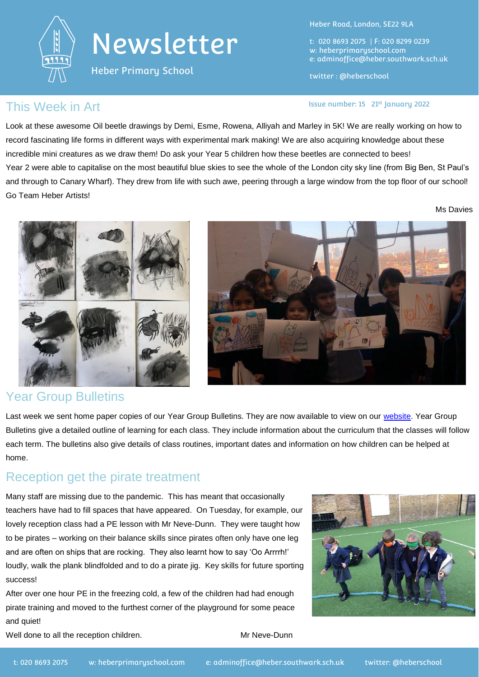

## Newsletter

Heber Primary School

Heber Road, London, SE22 9LA

t: 020 8693 2075 | F: 020 8299 0239 w: heberprimaryschool.com e: [adminoffice@heber.southwark.sch.uk](mailto:adminoffice@heber.southwark.sch.uk)

twitter : @heberschool

## This Week in Art **Interpreteral Contract Contract Contract** Issue number: 15 21st January 2022

Look at these awesome Oil beetle drawings by Demi, Esme, Rowena, Alliyah and Marley in 5K! We are really working on how to record fascinating life forms in different ways with experimental mark making! We are also acquiring knowledge about these incredible mini creatures as we draw them! Do ask your Year 5 children how these beetles are connected to bees! Year 2 were able to capitalise on the most beautiful blue skies to see the whole of the London city sky line (from Big Ben, St Paul's and through to Canary Wharf). They drew from life with such awe, peering through a large window from the top floor of our school! Go Team Heber Artists!

Ms Davies



### Year Group Bulletins

Last week we sent home paper copies of our Year Group Bulletins. They are now available to view on our [website.](https://heberprimaryschool.com/learning/year-group-bulletins/) Year Group Bulletins give a detailed outline of learning for each class. They include information about the curriculum that the classes will follow each term. The bulletins also give details of class routines, important dates and information on how children can be helped at home.

## Reception get the pirate treatment

Many staff are missing due to the pandemic. This has meant that occasionally teachers have had to fill spaces that have appeared. On Tuesday, for example, our lovely reception class had a PE lesson with Mr Neve-Dunn. They were taught how to be pirates – working on their balance skills since pirates often only have one leg and are often on ships that are rocking. They also learnt how to say 'Oo Arrrrh!' loudly, walk the plank blindfolded and to do a pirate jig. Key skills for future sporting success!

After over one hour PE in the freezing cold, a few of the children had had enough pirate training and moved to the furthest corner of the playground for some peace and quiet!



Well done to all the reception children. Mr Neve-Dunn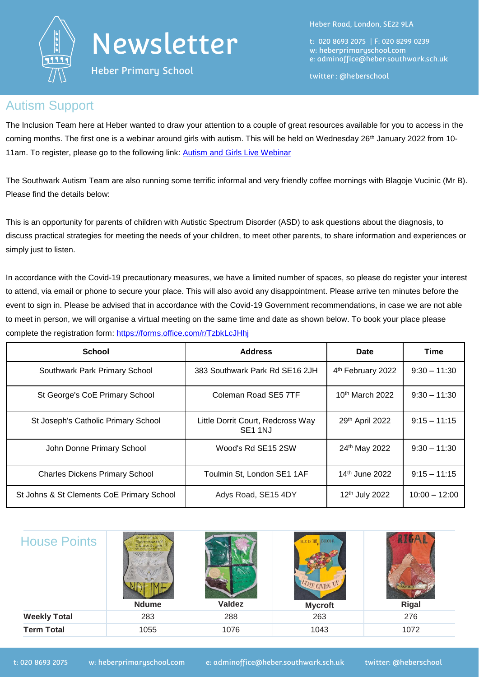

Heber Primary School

Heber Road, London, SE22 9LA

t: 020 8693 2075 | F: 020 8299 0239 w: heberprimaryschool.com e: [adminoffice@heber.southwark.sch.uk](mailto:adminoffice@heber.southwark.sch.uk)

twitter : @heberschool

## Autism Support

The Inclusion Team here at Heber wanted to draw your attention to a couple of great resources available for you to access in the coming months. The first one is a webinar around girls with autism. This will be held on Wednesday  $26<sup>th</sup>$  January 2022 from 10-11am. To register, please go to the following link: [Autism and Girls Live Webinar](https://www.witherslackgroup.co.uk/resources/autism-and-girls-live-webinar/?utm_campaign=Autism%20%26%20girls&utm_content=192874311&utm_medium=social&utm_source=facebook&hss_channel=fbp-476952742329200)

The Southwark Autism Team are also running some terrific informal and very friendly coffee mornings with Blagoje Vucinic (Mr B). Please find the details below:

This is an opportunity for parents of children with Autistic Spectrum Disorder (ASD) to ask questions about the diagnosis, to discuss practical strategies for meeting the needs of your children, to meet other parents, to share information and experiences or simply just to listen.

In accordance with the Covid-19 precautionary measures, we have a limited number of spaces, so please do register your interest to attend, via email or phone to secure your place. This will also avoid any disappointment. Please arrive ten minutes before the event to sign in. Please be advised that in accordance with the Covid-19 Government recommendations, in case we are not able to meet in person, we will organise a virtual meeting on the same time and date as shown below. To book your place please complete the registration form:<https://forms.office.com/r/TzbkLcJHhj>

| <b>School</b>                             | <b>Address</b>                                           | Date                       | Time            |
|-------------------------------------------|----------------------------------------------------------|----------------------------|-----------------|
| Southwark Park Primary School             | 383 Southwark Park Rd SE16 2JH                           | 4th February 2022          | $9:30 - 11:30$  |
| St George's CoE Primary School            | Coleman Road SE5 7TF                                     | 10th March 2022            | $9:30 - 11:30$  |
| St Joseph's Catholic Primary School       | Little Dorrit Court, Redcross Way<br>SE <sub>1</sub> 1NJ | 29th April 2022            | $9:15 - 11:15$  |
| John Donne Primary School                 | 24th May 2022<br>Wood's Rd SE15 2SW                      |                            | $9:30 - 11:30$  |
| <b>Charles Dickens Primary School</b>     | Toulmin St, London SE1 1AF                               | 14 <sup>th</sup> June 2022 | $9:15 - 11:15$  |
| St Johns & St Clements CoE Primary School | Adys Road, SE15 4DY                                      | 12 <sup>th</sup> July 2022 | $10:00 - 12:00$ |

| <b>House Points</b> | <i>vided we fall</i><br>ar ive can bigi<br>ING HALLES<br><b>Ndume</b> | <b>Valdez</b> | <b>COLOUR</b><br>LUE IS THE<br>MUTR GNING UV<br><b>Mycroft</b> | Rigal |
|---------------------|-----------------------------------------------------------------------|---------------|----------------------------------------------------------------|-------|
| <b>Weekly Total</b> | 283                                                                   | 288           | 263                                                            | 276   |
| <b>Term Total</b>   | 1055                                                                  | 1076          | 1043                                                           | 1072  |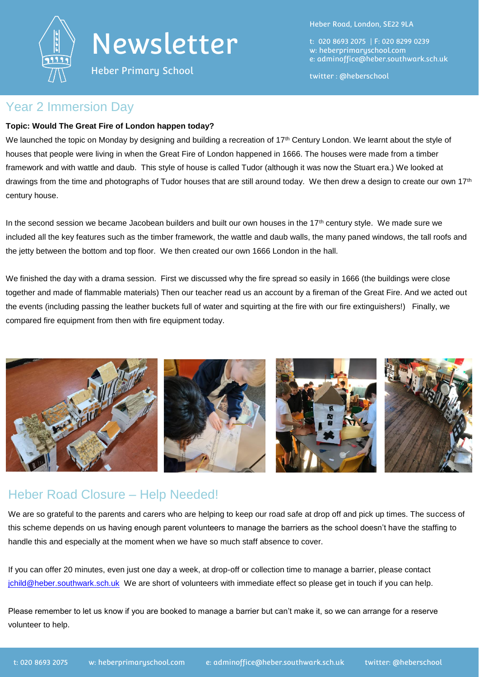

## Newsletter

Heber Primary School

Heber Road, London, SE22 9LA

t: 020 8693 2075 | F: 020 8299 0239 w: heberprimaryschool.com e: [adminoffice@heber.southwark.sch.uk](mailto:adminoffice@heber.southwark.sch.uk)

twitter : @heberschool

### Year 2 Immersion Day

#### **Topic: Would The Great Fire of London happen today?**

We launched the topic on Monday by designing and building a recreation of 17<sup>th</sup> Century London. We learnt about the style of houses that people were living in when the Great Fire of London happened in 1666. The houses were made from a timber framework and with wattle and daub. This style of house is called Tudor (although it was now the Stuart era.) We looked at drawings from the time and photographs of Tudor houses that are still around today. We then drew a design to create our own 17<sup>th</sup> century house.

In the second session we became Jacobean builders and built our own houses in the 17<sup>th</sup> century style. We made sure we included all the key features such as the timber framework, the wattle and daub walls, the many paned windows, the tall roofs and the jetty between the bottom and top floor. We then created our own 1666 London in the hall.

We finished the day with a drama session. First we discussed why the fire spread so easily in 1666 (the buildings were close together and made of flammable materials) Then our teacher read us an account by a fireman of the Great Fire. And we acted out the events (including passing the leather buckets full of water and squirting at the fire with our fire extinguishers!) Finally, we compared fire equipment from then with fire equipment today.



## Heber Road Closure – Help Needed!

We are so grateful to the parents and carers who are helping to keep our road safe at drop off and pick up times. The success of this scheme depends on us having enough parent volunteers to manage the barriers as the school doesn't have the staffing to handle this and especially at the moment when we have so much staff absence to cover.

If you can offer 20 minutes, even just one day a week, at drop-off or collection time to manage a barrier, please contact [jchild@heber.southwark.sch.uk](mailto:jchild@heber.southwark.sch.uk) We are short of volunteers with immediate effect so please get in touch if you can help.

Please remember to let us know if you are booked to manage a barrier but can't make it, so we can arrange for a reserve volunteer to help.